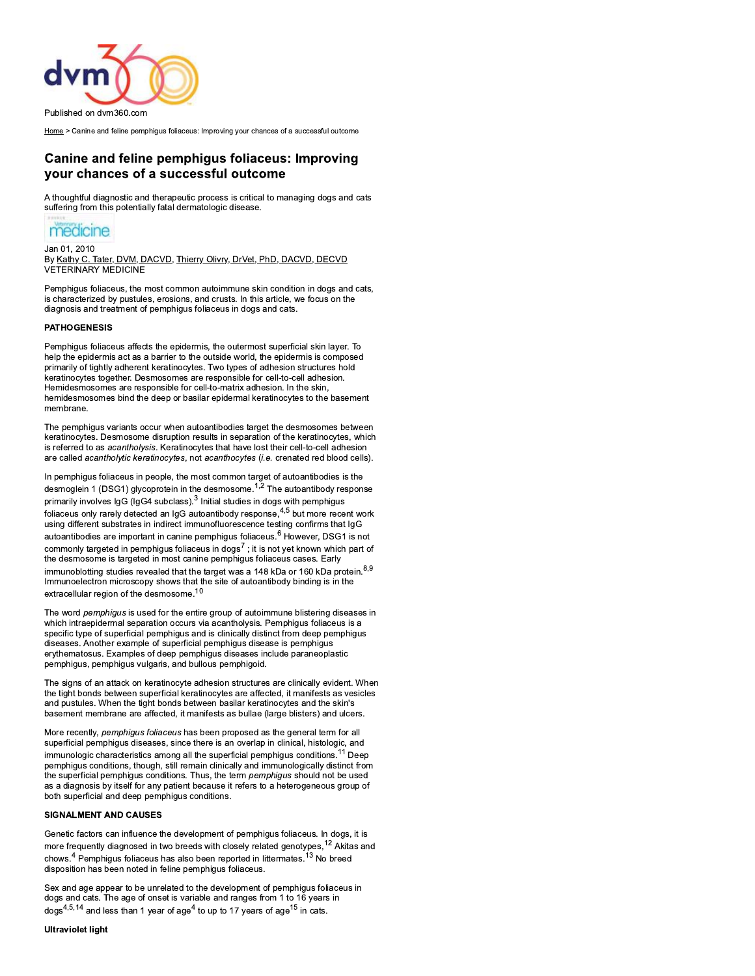

Home > Canine and feline pemphigus foliaceus: Improving your chances of a successful outcome

# **Canine and feline pemphigus foliaceus: Improving** your chances of a successful outcome

A thoughtful diagnostic and therapeutic process is critical to managing dogs and cats suffering from this potentially fatal dermatologic disease.



Jan 01, 2010 By Kathy C. Tater, DVM, DACVD, Thierry Olivry, DrVet, PhD, DACVD, DECVD **VETERINARY MEDICINE** 

Pemphigus foliaceus, the most common autoimmune skin condition in dogs and cats, is characterized by pustules, erosions, and crusts. In this article, we focus on the diagnosis and treatment of pemphigus foliaceus in dogs and cats.

# **PATHOGENESIS**

Pemphigus foliaceus affects the epidermis, the outermost superficial skin layer. To help the epidermis act as a barrier to the outside world, the epidermis is composed primarily of tightly adherent keratinocytes. Two types of adhesion structures hold keratinocytes together. Desmosomes are responsible for cell-to-cell adhesion. Hemidesmosomes are responsible for cell-to-matrix adhesion. In the skin, hemidesmosomes bind the deep or basilar epidermal keratinocytes to the basement membrane

The pemphiqus variants occur when autoantibodies target the desmosomes between keratinocytes. Desmosome disruption results in separation of the keratinocytes, which is referred to as acantholysis. Keratinocytes that have lost their cell-to-cell adhesion are called acantholytic keratinocytes, not acanthocytes (i.e. crenated red blood cells).

In pemphigus foliaceus in people, the most common target of autoantibodies is the desmoglein 1 (DSG1) glycoprotein in the desmosome.<sup>1,2</sup> The autoantibody response primarily involves IgG (IgG4 subclass).<sup>3</sup> Initial studies in dogs with pemphigus foliaceus only rarely detected an IgG autoantibody response, 4,5 but more recent work using different substrates in indirect immunofluorescence testing confirms that IgG autoantibodies are important in canine pemphigus foliaceus.<sup>6</sup> However, DSG1 is not commonly targeted in pemphigus foliaceus in dogs<sup>7</sup>; it is not yet known which part of the desmosome is targeted in most canine pemphigus foliaceus cases. Early immunoblotting studies revealed that the target was a 148 kDa or 160 kDa protein. 8,9 Immunoelectron microscopy shows that the site of autoantibody binding is in the extracellular region of the desmosome.<sup>10</sup>

The word *pemphiqus* is used for the entire group of autoimmune blistering diseases in which intraepidermal separation occurs via acantholysis. Pemphigus foliaceus is a specific type of superficial pemphigus and is clinically distinct from deep pemphigus diseases. Another example of superficial pemphigus disease is pemphigus erythematosus. Examples of deep pemphigus diseases include paraneoplastic pemphigus, pemphigus vulgaris, and bullous pemphigoid.

The signs of an attack on keratinocyte adhesion structures are clinically evident. When the tight bonds between superficial keratinocytes are affected, it manifests as vesicles and pustules. When the tight bonds between basilar keratinocytes and the skin's basement membrane are affected, it manifests as bullae (large blisters) and ulcers.

More recently, pemphigus foliaceus has been proposed as the general term for all superficial pemphigus diseases, since there is an overlap in clinical, histologic, and immunologic characteristics among all the superficial pemphigus conditions.<sup>11</sup> Deep pemphigus conditions, though, still remain clinically and immunologically distinct from the superficial pemphiqus conditions. Thus, the term pemphiqus should not be used as a diagnosis by itself for any patient because it refers to a heterogeneous group of both superficial and deep pemphigus conditions.

# **SIGNALMENT AND CAUSES**

Genetic factors can influence the development of pemphigus foliaceus. In dogs, it is more frequently diagnosed in two breeds with closely related genotypes,<sup>12</sup> Akitas and chows.<sup>4</sup> Pemphigus foliaceus has also been reported in littermates.<sup>13</sup> No breed disposition has been noted in feline pemphigus foliaceus.

Sex and age appear to be unrelated to the development of pemphigus foliaceus in dogs and cats. The age of onset is variable and ranges from 1 to 16 years in  $\log$ s<sup>4,5,14</sup> and less than 1 year of age<sup>4</sup> to up to 17 years of age<sup>15</sup> in cats.

# **Ultraviolet light**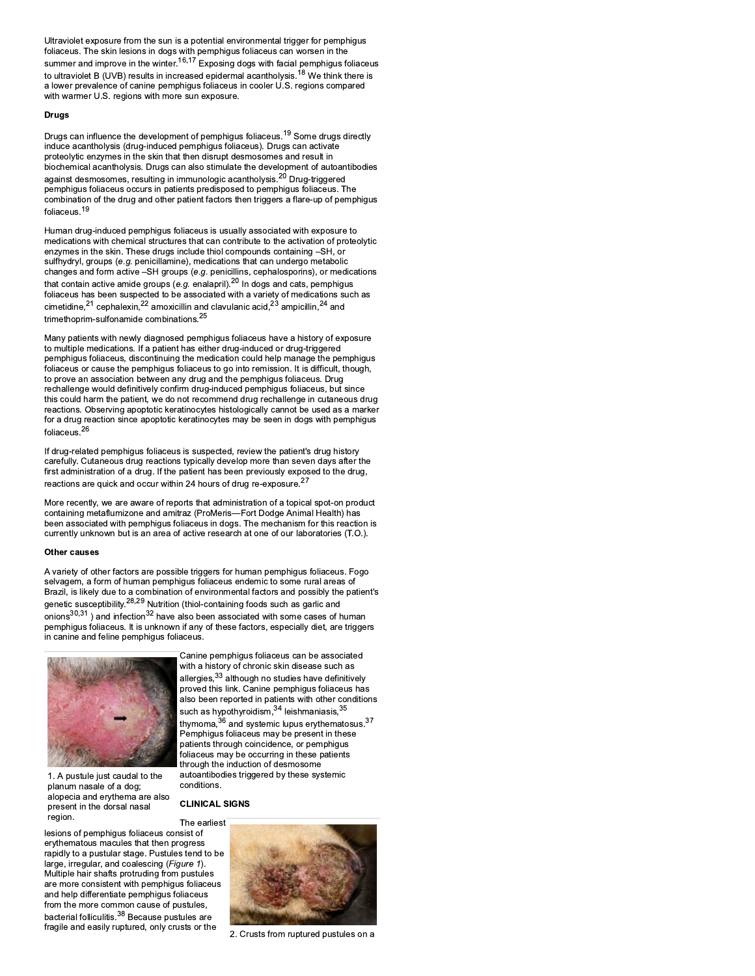Ultraviolet exposure from the sun is a potential environmental trigger for pemphigus foliaceus. The skin lesions in dogs with pemphigus foliaceus can worsen in the summer and improve in the winter.<sup>16,17</sup> Exposing dogs with facial pemphigus foliaceus to ultraviolet B (UVB) results in increased epidermal acantholysis.<sup>18</sup> We think there is a lower prevalence of canine pemphigus foliaceus in cooler U.S. regions compared with warmer U.S. regions with more sun exposure.

# **Drugs**

Drugs can influence the development of pemphigus foliaceus.<sup>19</sup> Some drugs directly induce acantholysis (drug-induced pemphigus foliaceus). Drugs can activate proteolytic enzymes in the skin that then disrupt desmosomes and result in biochemical acantholysis. Drugs can also stimulate the development of autoantibodies against desmosomes, resulting in immunologic acantholysis.<sup>20</sup> Drug-triggered pemphigus foliaceus occurs in patients predisposed to pemphigus foliaceus. The combination of the drug and other patient factors then triggers a flare-up of pemphigus foliaceus.<sup>19</sup>

Human drug-induced pemphigus foliaceus is usually associated with exposure to medications with chemical structures that can contribute to the activation of proteolytic enzymes in the skin. These drugs include thiol compounds containing –SH, or sulfhydryl, groups (e.g. penicillamine), medications that can undergo metabolic changes and form active -SH groups (e.g. peniciliaris, rephalosportins), or medications<br>that contain active amide groups (e.g. enalapril).<sup>20</sup> In dogs and cats, pemphigus<br>foliaceus has been suspected to be associated with cimetidine,  $21$  cephalexin,  $22$  amoxicillin and clavulanic acid,  $23$  ampicillin,  $24$  and trimethoprim-sulfonamide combinations.<sup>25</sup>

Many patients with newly diagnosed pemphigus foliaceus have a history of exposure to multiple medications. If a patient has either drug-induced or drug-triggered pemphigus foliaceus, discontinuing the medication could help manage the pemphigus foliaceus or cause the pemphiqus foliaceus to go into remission. It is difficult, though, to prove an association between any drug and the pemphigus foliaceus. Drug rechallenge would definitively confirm drug-induced pemphigus foliaceus, but since this could harm the patient, we do not recommend drug rechallenge in cutaneous drug reactions. Observing apoptotic keratinocytes histologically cannot be used as a marker for a drug reaction since apoptotic keratinocytes may be seen in dogs with pemphigus foliaceus. $^{26}$ 

If drug-related pemphigus foliaceus is suspected, review the patient's drug history carefully. Cutaneous drug reactions typically develop more than seven days after the first administration of a drug. If the patient has been previously exposed to the drug, reactions are quick and occur within 24 hours of drug re-exposure.<sup>27</sup>

More recently, we are aware of reports that administration of a topical spot-on product containing metaflumizone and amitraz (ProMeris-Fort Dodge Animal Health) has been associated with pemphigus foliaceus in dogs. The mechanism for this reaction is currently unknown but is an area of active research at one of our laboratories (T.O.).

### **Other causes**

A variety of other factors are possible triggers for human pemphigus foliaceus. Fogo selvagem, a form of human pemphigus foliaceus endemic to some rural areas of Brazil, is likely due to a combination of environmental factors and possibly the patient's genetic susceptibility.<sup>28,29</sup> Nutrition (thiol-containing foods such as garlic and onions $30,31$ ) and infection $32$  have also been associated with some cases of human pemphigus foliaceus. It is unknown if any of these factors, especially diet, are triggers in canine and feline pemphigus foliaceus.



1. A pustule just caudal to the planum nasale of a dog; alopecia and erythema are also present in the dorsal nasal region.

Canine pemphigus foliaceus can be associated with a history of chronic skin disease such as allergies, 33 although no studies have definitively proved this link. Canine pemphigus foliaceus has also been reported in patients with other conditions such as hypothyroidism, 34 leishmaniasis, 35 thymoma,  $36$  and systemic lupus erythematosus.  $37$ Pemphigus foliaceus may be present in these patients through coincidence, or pemphigus foliaceus may be occurring in these patients through the induction of desmosome autoantibodies triggered by these systemic conditions.

**CLINICAL SIGNS** 

lesions of pemphigus foliaceus consist of ervthematous macules that then progress rapidly to a pustular stage. Pustules tend to be large, irregular, and coalescing (Figure 1). Multiple hair shafts protruding from pustules are more consistent with pemphigus foliaceus and help differentiate pemphigus foliaceus from the more common cause of pustules, bacterial folliculitis.<sup>38</sup> Because pustules are fragile and easily ruptured, only crusts or the



2. Crusts from ruptured pustules on a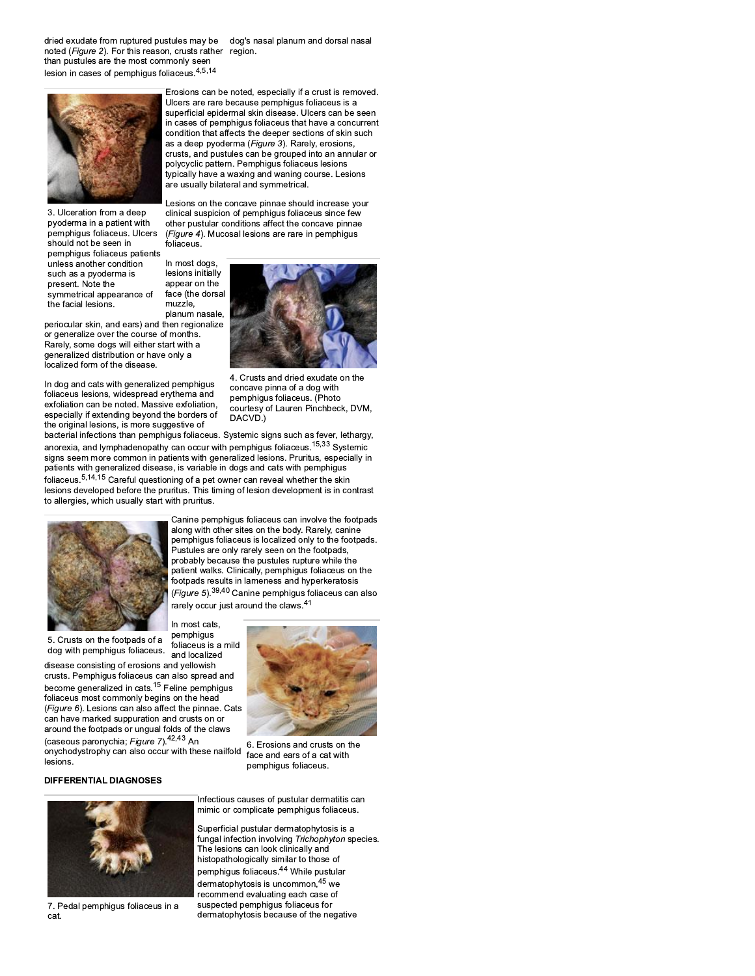dried exudate from ruptured pustules may be noted (Figure 2). For this reason, crusts rather region. than pustules are the most commonly seen lesion in cases of pemphigus foliaceus.<sup>4,5,14</sup>

dog's nasal planum and dorsal nasal



3. Ulceration from a deep pyoderma in a patient with pemphigus foliaceus. Ulcers should not be seen in pemphigus foliaceus patients unless another condition such as a pyoderma is present. Note the symmetrical appearance of the facial lesions.

periocular skin, and ears) and then regionalize or generalize over the course of months. Rarely, some dogs will either start with a generalized distribution or have only a localized form of the disease.

In dog and cats with generalized pemphigus foliaceus lesions, widespread erythema and exfoliation can be noted. Massive exfoliation. especially if extending beyond the borders of the original lesions, is more suggestive of

Lesions on the concave pinnae should increase your clinical suspicion of pemphigus foliaceus since few other pustular conditions affect the concave pinnae (Figure 4). Mucosal lesions are rare in pemphigus foliaceus.

In most dogs, lesions initially appear on the face (the dorsal muzzle planum nasale,



4. Crusts and dried exudate on the concave pinna of a dog with pemphigus foliaceus. (Photo courtesy of Lauren Pinchbeck, DVM, DACVD<sup>1</sup>

Canine pemphigus foliaceus can involve the footpads along with other sites on the body. Rarely, canine pemphigus foliaceus is localized only to the footpads. pustules are only rarely seen on the footpads, probably because the pustules rupture while the

bacterial infections than pemphigus foliaceus. Systemic signs such as fever, lethargy, anorexia, and lymphadenopathy can occur with pemphigus foliaceus.<sup>15,33</sup> Systemic signs seem more common in patients with generalized lesions. Pruritus, especially in patients with generalized disease, is variable in dogs and cats with pemphigus foliaceus.<sup>5,14,15</sup> Careful questioning of a pet owner can reveal whether the skin lesions developed before the pruritus. This timing of lesion development is in contrast to allergies, which usually start with pruritus



patient walks. Clinically, pemphigus foliaceus on the footpads results in lameness and hyperkeratosis (Figure 5).<sup>39,40</sup> Canine pemphigus foliaceus can also rarely occur just around the claws.<sup>41</sup> In most cats, pemphigus

5. Crusts on the footpads of a foliaceus is a mild dog with pemphigus foliaceus. and localized

disease consisting of erosions and yellowish crusts. Pemphigus foliaceus can also spread and become generalized in cats.<sup>15</sup> Feline pemphiqus foliaceus most commonly begins on the head (Figure 6). Lesions can also affect the pinnae. Cats can have marked suppuration and crusts on or around the footpads or ungual folds of the claws (caseous paronychia; Figure 7).<sup>42,43</sup> An

onychodystrophy can also occur with these nailfold lesions.



6. Erosions and crusts on the face and ears of a cat with pemphigus foliaceus.

# **DIFFERENTIAL DIAGNOSES**



7. Pedal pemphigus foliaceus in a cat.

Infectious causes of pustular dermatitis can mimic or complicate pemphigus foliaceus.

Superficial pustular dermatophytosis is a fungal infection involving Trichophyton species. The lesions can look clinically and histopathologically similar to those of pemphigus foliaceus.<sup>44</sup> While pustular dermatophytosis is uncommon, 45 we recommend evaluating each case of suspected pemphigus foliaceus for dermatophytosis because of the negative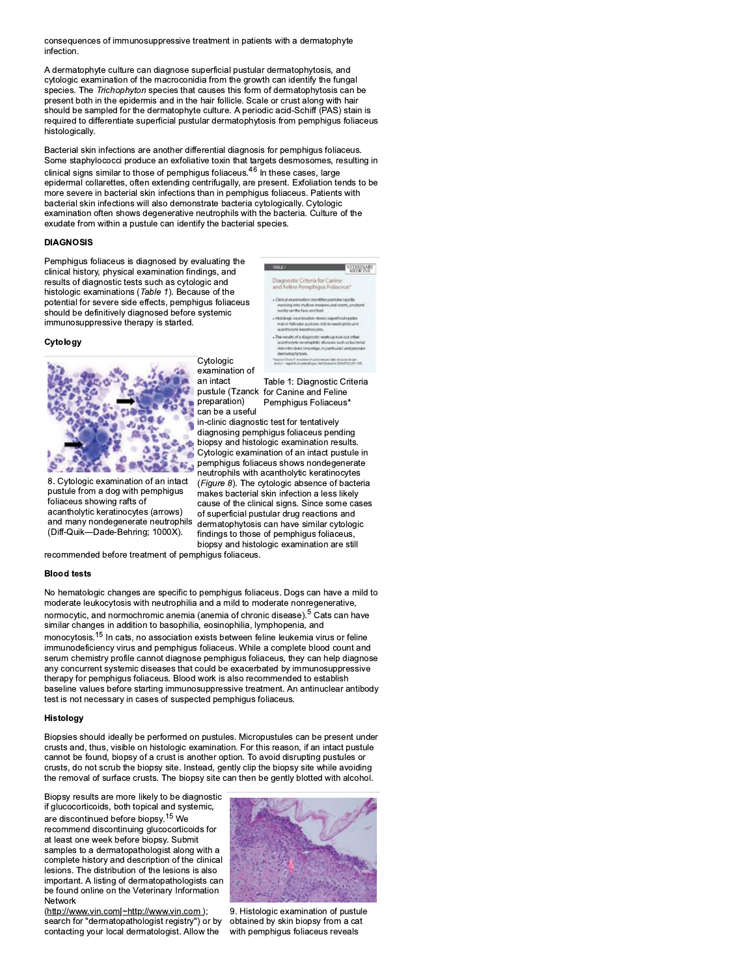consequences of immunosuppressive treatment in patients with a dermatophyte infection

A dermatophyte culture can diagnose superficial pustular dermatophytosis, and cytologic examination of the macroconidia from the growth can identify the fungal species. The Trichophyton species that causes this form of dermatophytosis can be present both in the epidermis and in the hair follicle. Scale or crust along with hair should be sampled for the dermatophyte culture. A periodic acid-Schiff (PAS) stain is required to differentiate superficial pustular dermatophytosis from pemphiqus foliaceus histologically.

Bacterial skin infections are another differential diagnosis for pemphigus foliaceus. Some staphylococci produce an exfoliative toxin that targets desmosomes, resulting in clinical signs similar to those of pemphigus foliaceus.<sup>46</sup> In these cases, large epidermal collarettes, often extending centrifugally, are present. Exfoliation tends to be more severe in bacterial skin infections than in pemphigus foliaceus. Patients with bacterial skin infections will also demonstrate bacteria cytologically. Cytologic examination often shows degenerative neutrophils with the bacteria. Culture of the exudate from within a pustule can identify the bacterial species.

# **DIAGNOSIS**

Pemphigus foliaceus is diagnosed by evaluating the clinical history, physical examination findings, and results of diagnostic tests such as cytologic and histologic examinations (Table 1). Because of the potential for severe side effects, pemphigus foliaceus should be definitively diagnosed before systemic immunosuppressive therapy is started.

### Cytology



8. Cytologic examination of an intact pustule from a dog with pemphigus foliaceus showing rafts of acantholytic keratinocytes (arrows) and many nondegenerate neutrophils (Diff-Quik-Dade-Behring; 1000X).

examination of an intact preparation) can be a useful

Cytologic

Table 1: Diagnostic Criteria pustule (Tzanck for Canine and Feline Pemphigus Foliaceus\*

.<br>agnostic Criteria for Canine<br>d Felme Pemphigus Foliac

**VELENNAIO** 

in-clinic diagnostic test for tentatively diagnosing pemphigus foliaceus pending biopsy and histologic examination results. Cytologic examination of an intact pustule in pemphigus foliaceus shows nondegenerate neutrophils with acantholytic keratinocytes (Figure 8). The cytologic absence of bacteria makes bacterial skin infection a less likely cause of the clinical signs. Since some cases of superficial pustular drug reactions and dermatophytosis can have similar cytologic findings to those of pemphigus foliaceus, biopsy and histologic examination are still

recommended before treatment of pemphigus foliaceus.

#### **Blood tests**

No hematologic changes are specific to pemphigus foliaceus. Dogs can have a mild to moderate leukocytosis with neutrophilia and a mild to moderate nonregenerative, normocytic, and normochromic anemia (anemia of chronic disease).<sup>5</sup> Cats can have similar changes in addition to basophilia, eosinophilia, lymphopenia, and monocytosis.<sup>15</sup> In cats, no association exists between feline leukemia virus or feline immunodeficiency virus and pemphiqus foliaceus. While a complete blood count and serum chemistry profile cannot diagnose pemphigus foliaceus, they can help diagnose any concurrent systemic diseases that could be exacerbated by immunosuppressive therapy for pemphigus foliaceus. Blood work is also recommended to establish baseline values before starting immunosuppressive treatment. An antinuclear antibody test is not necessary in cases of suspected pemphigus foliaceus.

### Histology

Biopsies should ideally be performed on pustules. Micropustules can be present under crusts and, thus, visible on histologic examination. For this reason, if an intact pustule cannot be found, biopsy of a crust is another option. To avoid disrupting pustules or crusts, do not scrub the biopsy site. Instead, gently clip the biopsy site while avoiding the removal of surface crusts. The biopsy site can then be gently blotted with alcohol.

Biopsy results are more likely to be diagnostic if glucocorticoids, both topical and systemic, are discontinued before biopsy.<sup>15</sup> We recommend discontinuing glucocorticoids for at least one week before biopsy. Submit samples to a dermatopathologist along with a complete history and description of the clinical lesions. The distribution of the lesions is also important. A listing of dermatopathologists can be found online on the Veterinary Information Network

(http://www.vin.com|~http://www.vin.com );<br>search for "dermatopathologist registry") or by contacting your local dermatologist. Allow the



9. Histologic examination of pustule obtained by skin biopsy from a cat with pemphigus foliaceus reveals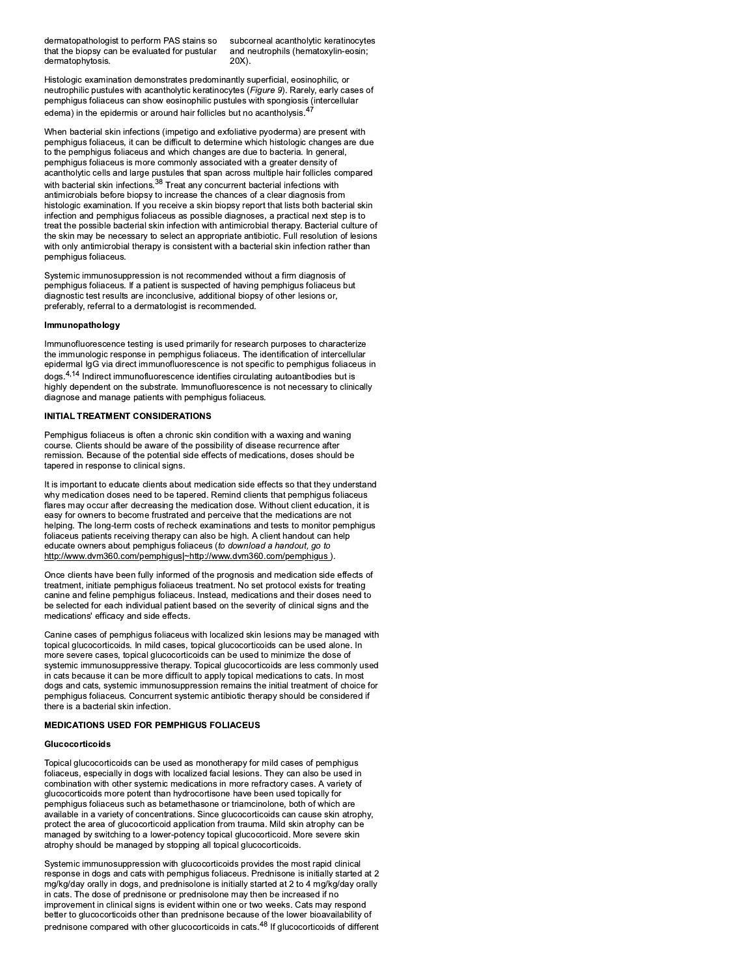dermatopathologist to perform PAS stains so that the biopsy can be evaluated for pustular dermatophytosis.

subcorneal acantholytic keratinocytes and neutrophils (hematoxylin-eosin;  $20X$ ).

Histologic examination demonstrates predominantly superficial, eosinophilic, or neutrophilic pustules with acantholytic keratinocytes (Figure 9). Rarely, early cases of pemphigus foliaceus can show eosinophilic pustules with spongiosis (intercellular edema) in the epidermis or around hair follicles but no acantholysis.<sup>4</sup>

When bacterial skin infections (impetigo and exfoliative pyoderma) are present with pemphigus foliaceus, it can be difficult to determine which histologic changes are due to the pemphigus foliaceus and which changes are due to bacteria. In general, pemphigus foliaceus is more commonly associated with a greater density of acantholytic cells and large pustules that span across multiple hair follicles compared with bacterial skin infections.<sup>38</sup> Treat any concurrent bacterial infections with antimicrobials before biopsy to increase the chances of a clear diagnosis from histologic examination. If you receive a skin biopsy report that lists both bacterial skin infection and pemphigus foliaceus as possible diagnoses, a practical next step is to treat the possible bacterial skin infection with antimicrobial therapy. Bacterial culture of the skin may be necessary to select an appropriate antibiotic. Full resolution of lesions with only antimicrobial therapy is consistent with a bacterial skin infection rather than pemphigus foliaceus.

Systemic immunosuppression is not recommended without a firm diagnosis of pemphigus foliaceus. If a patient is suspected of having pemphigus foliaceus but diagnostic test results are inconclusive, additional biopsy of other lesions or, preferably, referral to a dermatologist is recommended.

# Immunopathology

Immunofluorescence testing is used primarily for research purposes to characterize the immunologic response in pemphigus foliaceus. The identification of intercellular epidermal IgG via direct immunofluorescence is not specific to pemphigus foliaceus in  $\log s^{4,14}$  Indirect immunofluorescence identifies circulating autoantibodies but is highly dependent on the substrate. Immunofluorescence is not necessary to clinically diagnose and manage patients with pemphigus foliaceus.

### INITIAL TREATMENT CONSIDERATIONS

Pemphigus foliaceus is often a chronic skin condition with a waxing and waning course. Clients should be aware of the possibility of disease recurrence after remission. Because of the potential side effects of medications, doses should be tapered in response to clinical signs.

It is important to educate clients about medication side effects so that they understand why medication doses need to be tapered. Remind clients that pemphigus foliaceus flares may occur after decreasing the medication dose. Without client education, it is easy for owners to become frustrated and perceive that the medications are not helping. The long-term costs of recheck examinations and tests to monitor pemphigus foliaceus patients receiving therapy can also be high. A client handout can help educate owners about pemphigus foliaceus (to download a handout, go to http://www.dvm360.com/pemphigus|~http://www.dvm360.com/pemphigus ).

Once clients have been fully informed of the prognosis and medication side effects of treatment, initiate pemphigus foliaceus treatment. No set protocol exists for treating canine and feline pemphigus foliaceus. Instead, medications and their doses need to be selected for each individual patient based on the severity of clinical signs and the medications' efficacy and side effects.

Canine cases of pemphigus foliaceus with localized skin lesions may be managed with topical glucocorticoids. In mild cases, topical glucocorticoids can be used alone. In more severe cases, topical glucocorticoids can be used to minimize the dose of systemic immunosuppressive therapy. Topical glucocorticoids are less commonly used in cats because it can be more difficult to apply topical medications to cats. In most dogs and cats, systemic immunosuppression remains the initial treatment of choice for pemphigus foliaceus. Concurrent systemic antibiotic therapy should be considered if there is a bacterial skin infection.

### **MEDICATIONS USED FOR PEMPHIGUS FOLIACEUS**

#### Glucocorticoids

Topical glucocorticoids can be used as monotherapy for mild cases of pemphigus foliaceus, especially in dogs with localized facial lesions. They can also be used in combination with other systemic medications in more refractory cases. A variety of glucocorticoids more potent than hydrocortisone have been used topically for pemphigus foliaceus such as betamethasone or triamcinolone, both of which are available in a variety of concentrations. Since glucocorticoids can cause skin atrophy, protect the area of glucocorticoid application from trauma. Mild skin atrophy can be managed by switching to a lower-potency topical glucocorticoid. More severe skin atrophy should be managed by stopping all topical glucocorticoids.

Systemic immunosuppression with glucocorticoids provides the most rapid clinical response in dogs and cats with pemphigus foliaceus. Prednisone is initially started at 2 mg/kg/day orally in dogs, and prednisolone is initially started at 2 to 4 mg/kg/day orally in cats. The dose of prednisone or prednisolone may then be increased if no improvement in clinical signs is evident within one or two weeks. Cats may respond better to glucocorticoids other than prednisone because of the lower bioavailability of prednisone compared with other glucocorticoids in cats.<sup>48</sup> If glucocorticoids of different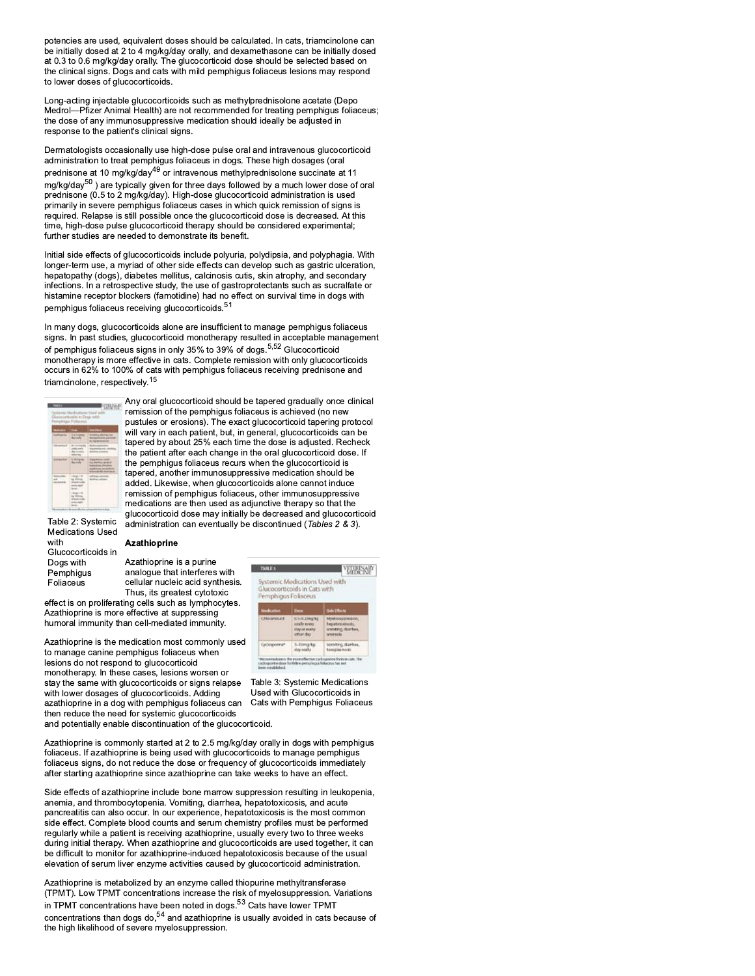potencies are used, equivalent doses should be calculated. In cats, triamcinolone can be initially dosed at 2 to 4 mg/kg/day orally, and dexamethasone can be initially dosed at 0.3 to 0.6 mg/kg/day orally. The glucocorticoid dose should be selected based on the clinical signs. Dogs and cats with mild pemphigus foliaceus lesions may respond to lower doses of glucocorticoids.

Long-acting injectable glucocorticoids such as methylprednisolone acetate (Depo Medrol-Pfizer Animal Health) are not recommended for treating pemphigus foliaceus; the dose of any immunosuppressive medication should ideally be adjusted in response to the patient's clinical signs.

Dermatologists occasionally use high-dose pulse oral and intravenous glucocorticoid administration to treat pemphigus foliaceus in dogs. These high dosages (oral prednisone at 10 mg/kg/day<sup>49</sup> or intravenous methylprednisolone succinate at 11 mg/kg/day<sup>50</sup>) are typically given for three days followed by a much lower dose of oral prednisone (0.5 to 2 mg/kg/day). High-dose glucocorticoid administration is used primarily in severe pemphigus foliaceus cases in which quick remission of signs is required. Relapse is still possible once the glucocorticoid dose is decreased. At this time, high-dose pulse glucocorticoid therapy should be considered experimental; further studies are needed to demonstrate its benefit.

Initial side effects of glucocorticoids include polyuria, polydipsia, and polyphagia. With longer-term use, a myriad of other side effects can develop such as gastric ulceration, hepatopathy (dogs), diabetes mellitus, calcinosis cutis, skin atrophy, and secondary infections. In a retrospective study, the use of gastroprotectants such as sucralfate or histamine receptor blockers (famotidine) had no effect on survival time in dogs with pemphigus foliaceus receiving glucocorticoids.<sup>51</sup>

In many dogs, glucocorticoids alone are insufficient to manage pemphigus foliaceus signs. In past studies, glucocorticoid monotherapy resulted in acceptable management of pemphigus foliaceus signs in only 35% to 39% of dogs.<sup>5,52</sup> Glucocorticoid monotherapy is more effective in cats. Complete remission with only glucocorticoids occurs in 62% to 100% of cats with pemphigus foliaceus receiving prednisone and triamcinolone, respectively.<sup>15</sup>



Any oral glucocorticoid should be tapered gradually once clinical remission of the pemphigus foliaceus is achieved (no new pustules or erosions). The exact glucocorticoid tapering protocol will vary in each patient, but, in general, glucocorticoids can be tapered by about 25% each time the dose is adjusted. Recheck the patient after each change in the oral glucocorticoid dose. If the pemphigus foliaceus recurs when the glucocorticoid is tapered, another immunosuppressive medication should be added. Likewise, when glucocorticoids alone cannot induce remission of pemphigus foliaceus, other immunosuppressive medications are then used as adjunctive therapy so that the glucocorticoid dose may initially be decreased and glucocorticoid administration can eventually be discontinued (Tables 2 & 3).

Table 2: Systemic **Medications Used** with Glucocorticoids in Dogs with Pemphigus Foliaceus

# Azathioprine

Azathioprine is a purine analogue that interferes with cellular nucleic acid synthesis. Thus, its greatest cytotoxic

effect is on proliferating cells such as lymphocytes. Azathioprine is more effective at suppressing humoral immunity than cell-mediated immunity.

Azathioprine is the medication most commonly used to manage canine pemphigus foliaceus when lesions do not respond to glucocorticoid monotherapy. In these cases, lesions worsen or stay the same with glucocorticoids or signs relapse with lower dosages of glucocorticoids. Adding azathioprine in a dog with pemphigus foliaceus can then reduce the need for systemic glucocorticoids and potentially enable discontinuation of the glucocorticoid.



Table 3: Systemic Medications Used with Glucocorticoids in Cats with Pemphigus Foliaceus

Azathioprine is commonly started at 2 to 2.5 mg/kg/day orally in dogs with pemphigus foliaceus. If azathioprine is being used with glucocorticoids to manage pemphigus foliaceus signs, do not reduce the dose or frequency of glucocorticoids immediately after starting azathioprine since azathioprine can take weeks to have an effect.

Side effects of azathioprine include bone marrow suppression resulting in leukopenia, anemia, and thrombocytopenia. Vomiting, diarrhea, hepatotoxicosis, and acute pancreatitis can also occur. In our experience, hepatotoxicosis is the most common side effect. Complete blood counts and serum chemistry profiles must be performed regularly while a patient is receiving azathioprine, usually every two to three weeks during initial therapy. When azathioprine and glucocorticoids are used together, it can be difficult to monitor for azathioprine-induced hepatotoxicosis because of the usual elevation of serum liver enzyme activities caused by glucocorticoid administration.

Azathioprine is metabolized by an enzyme called thiopurine methyltransferase (TPMT). Low TPMT concentrations increase the risk of myelosuppression. Variations in TPMT concentrations have been noted in dogs.<sup>53</sup> Cats have lower TPMT concentrations than dogs do,<sup>54</sup> and azathioprine is usually avoided in cats because of<br>the high likelihood of severe myelosuppression.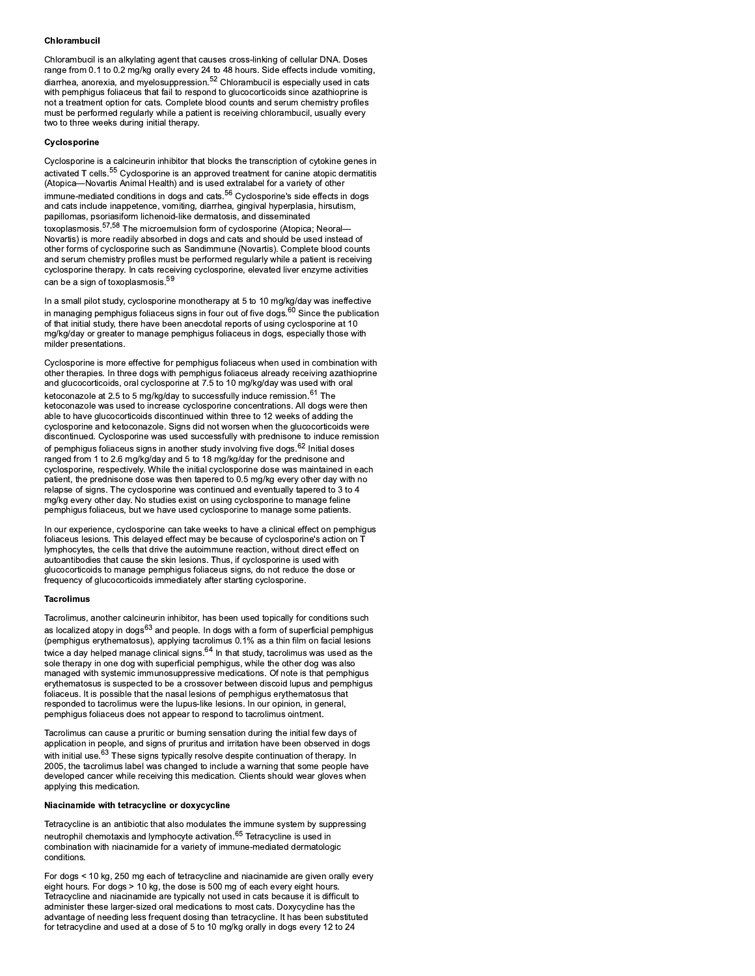### Chlorambucil

Chlorambucil is an alkylating agent that causes cross-linking of cellular DNA. Doses range from 0.1 to 0.2 mg/kg orally every 24 to 48 hours. Side effects include vomiting, diarrhea, anorexia, and myelosuppression.<sup>52</sup> Chlorambucil is especially used in cats with pemphigus foliaceus that fail to respond to glucocorticoids since azathioprine is not a treatment option for cats. Complete blood counts and serum chemistry profiles must be performed regularly while a patient is receiving chlorambucil, usually every two to three weeks during initial therapy.

### Cyclosporine

Cyclosporine is a calcineurin inhibitor that blocks the transcription of cytokine genes in activated T cells.<sup>55</sup> Cyclosporine is an approved treatment for canine atopic dermatitis (Atopica-Novartis Animal Health) and is used extralabel for a variety of other immune-mediated conditions in dogs and cats.<sup>56</sup> Cyclosporine's side effects in dogs and cats include inappetence, vomiting, diarrhea, gingival hyperplasia, hirsutism, papillomas, psoriasiform lichenoid-like dermatosis, and disseminated toxoplasmosis.<sup>57,58</sup> The microemulsion form of cyclosporine (Atopica: Neoral— Novartis) is more readily absorbed in dogs and cats and should be used instead of other forms of cyclosporine such as Sandimmune (Novartis). Complete blood counts and serum chemistry profiles must be performed regularly while a patient is receiving cyclosporine therapy. In cats receiving cyclosporine, elevated liver enzyme activities can be a sign of toxoplasmosis.<sup>59</sup>

In a small pilot study, cyclosporine monotherapy at 5 to 10 mg/kg/day was ineffective in managing pemphigus foliaceus signs in four out of five dogs.<sup>60</sup> Since the publication of that initial study, there have been anecdotal reports of using cyclosporine at 10 mg/kg/day or greater to manage pemphigus foliaceus in dogs, especially those with milder presentations.

Cyclosporine is more effective for pemphigus foliaceus when used in combination with other therapies. In three dogs with pemphigus foliaceus already receiving azathioprine and glucocorticoids, oral cyclosporine at 7.5 to 10 mg/kg/day was used with oral ketoconazole at 2.5 to 5 mg/kg/day to successfully induce remission.<sup>61</sup> The ketoconazole was used to increase cyclosporine concentrations. All dogs were then able to have glucocorticoids discontinued within three to 12 weeks of adding the cyclosporine and ketoconazole. Signs did not worsen when the glucocorticoids were discontinued. Cyclosporine was used successfully with prednisone to induce remission of pemphigus foliaceus signs in another study involving five dogs.<sup>62</sup> Initial doses ranged from 1 to 2.6 mg/kg/day and 5 to 18 mg/kg/day for the prednisone and cyclosporine, respectively. While the initial cyclosporine dose was maintained in each patient, the prednisone dose was then tapered to 0.5 mg/kg every other day with no relapse of signs. The cyclosporine was continued and eventually tapered to 3 to 4 mg/kg every other day. No studies exist on using cyclosporine to manage feline pemphigus foliaceus, but we have used cyclosporine to manage some patients.

In our experience, cyclosporine can take weeks to have a clinical effect on pemphigus foliaceus lesions. This delayed effect may be because of cyclosporine's action on T lymphocytes, the cells that drive the autoimmune reaction, without direct effect on autoantibodies that cause the skin lesions. Thus, if cyclosporine is used with glucocorticoids to manage pemphigus foliaceus signs, do not reduce the dose or frequency of glucocorticoids immediately after starting cyclosporine.

### **Tacrolimus**

Tacrolimus, another calcineurin inhibitor, has been used topically for conditions such as localized atopy in dogs<sup>63</sup> and people. In dogs with a form of superficial pemphigus (pemphigus erythematosus), applying tacrolimus 0.1% as a thin film on facial lesions twice a day helped manage clinical signs.  $64$  In that study, tacrolimus was used as the sole therapy in one dog with superficial pemphigus, while the other dog was also managed with systemic immunosuppressive medications. Of note is that pemphigus erythematosus is suspected to be a crossover between discoid lupus and pemphigus foliaceus. It is possible that the nasal lesions of pemphigus erythematosus that responded to tacrolimus were the lupus-like lesions. In our opinion, in general, pemphigus foliaceus does not appear to respond to tacrolimus ointment.

Tacrolimus can cause a pruritic or burning sensation during the initial few days of application in people, and signs of pruritus and irritation have been observed in dogs with initial use.<sup>63</sup> These signs typically resolve despite continuation of therapy. In 2005, the tacrolimus label was changed to include a warning that some people have developed cancer while receiving this medication. Clients should wear gloves when applying this medication.

# Niacinamide with tetracycline or doxycycline

Tetracycline is an antibiotic that also modulates the immune system by suppressing neutrophil chemotaxis and lymphocyte activation.<sup>65</sup> Tetracycline is used in combination with niacinamide for a variety of immune-mediated dermatologic conditions.

For dogs < 10 kg, 250 mg each of tetracycline and niacinamide are given orally every eight hours. For dogs > 10 kg, the dose is 500 mg of each every eight hours. Tetracycline and niacinamide are typically not used in cats because it is difficult to administer these larger-sized oral medications to most cats. Doxycycline has the advantage of needing less frequent dosing than tetracycline. It has been substituted for tetracycline and used at a dose of 5 to 10 mg/kg orally in dogs every 12 to 24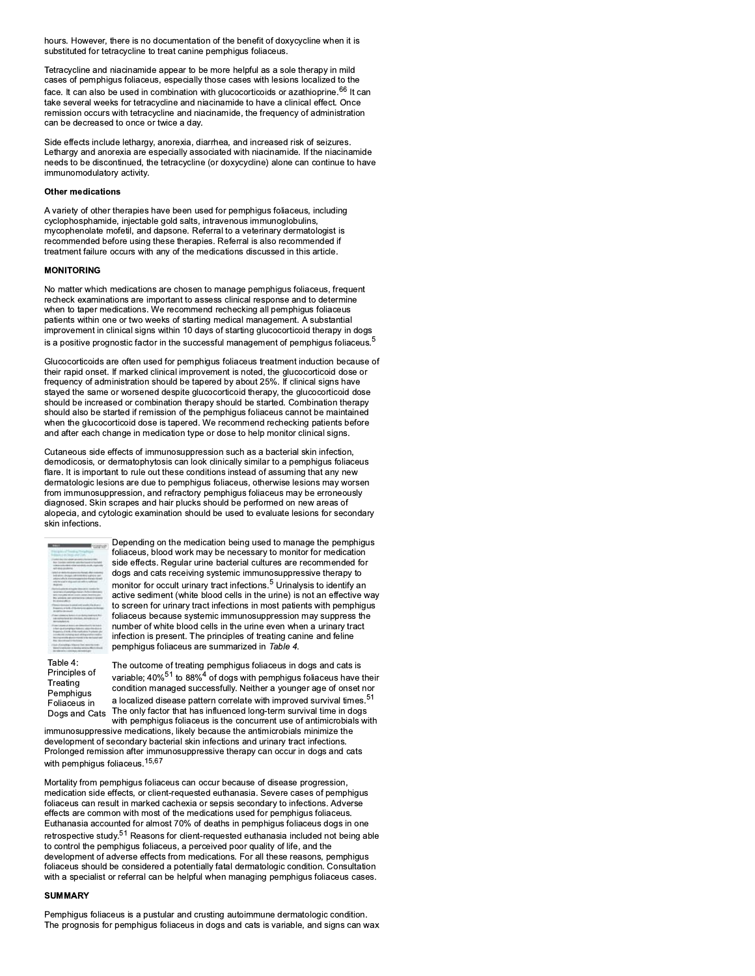hours. However, there is no documentation of the benefit of doxycycline when it is substituted for tetracycline to treat canine pemphigus foliaceus.

Tetracycline and niacinamide appear to be more helpful as a sole therapy in mild cases of pemphigus foliaceus, especially those cases with lesions localized to the face. It can also be used in combination with glucocorticoids or azathioprine.<sup>66</sup> It can take several weeks for tetracycline and niacinamide to have a clinical effect. Once remission occurs with tetracycline and niacinamide, the frequency of administration can be decreased to once or twice a day.

Side effects include lethargy, anorexia, diarrhea, and increased risk of seizures. Lethargy and anorexia are especially associated with niacinamide. If the niacinamide needs to be discontinued, the tetracycline (or doxycycline) alone can continue to have immunomodulatory activity.

### **Other medications**

A variety of other therapies have been used for pemphigus foliaceus, including cyclophosphamide, injectable gold salts, intravenous immunoglobulins, mycophenolate mofetil, and dapsone. Referral to a veterinary dermatologist is recommended before using these therapies. Referral is also recommended if treatment failure occurs with any of the medications discussed in this article.

# **MONITORING**

No matter which medications are chosen to manage pemphigus foliaceus, frequent recheck examinations are important to assess clinical response and to determine when to taper medications. We recommend rechecking all pemphigus foliaceus patients within one or two weeks of starting medical management. A substantial improvement in clinical signs within 10 days of starting glucocorticoid therapy in dogs is a positive prognostic factor in the successful management of pemphiqus foliaceus.<sup>5</sup>

Glucocorticoids are often used for pemphigus foliaceus treatment induction because of their rapid onset. If marked clinical improvement is noted, the glucocorticoid dose or frequency of administration should be tapered by about 25%. If clinical signs have stayed the same or worsened despite glucocorticoid therapy, the glucocorticoid dose should be increased or combination therapy should be started. Combination therapy should also be started if remission of the pemphigus foliaceus cannot be maintained when the glucocorticoid dose is tapered. We recommend rechecking patients before and after each change in medication type or dose to help monitor clinical signs.

Cutaneous side effects of immunosuppression such as a bacterial skin infection, demodicosis, or dermatophytosis can look clinically similar to a pemphigus foliaceus flare. It is important to rule out these conditions instead of assuming that any new dermatologic lesions are due to pemphigus foliaceus, otherwise lesions may worsen from immunosuppression, and refractory pemphigus foliaceus may be erroneously diagnosed. Skin scrapes and hair plucks should be performed on new areas of alopecia, and cytologic examination should be used to evaluate lesions for secondary skin infections.



Depending on the medication being used to manage the pemphigus foliaceus, blood work may be necessary to monitor for medication side effects. Regular urine bacterial cultures are recommended for dogs and cats receiving systemic immunosuppressive therapy to monitor for occult urinary tract infections.<sup>5</sup> Urinalysis to identify an active sediment (white blood cells in the urine) is not an effective way to screen for urinary tract infections in most patients with pemphigus foliaceus because systemic immunosuppression may suppress the number of white blood cells in the urine even when a urinary tract infection is present. The principles of treating canine and feline pemphigus foliaceus are summarized in Table 4.

Table 4: Principles of Treating Pemphigus Foliaceus in Dogs and Cats

The outcome of treating pemphigus foliaceus in dogs and cats is variable; 40%<sup>51</sup> to 88%<sup>4</sup> of dogs with pemphigus foliaceus have their condition managed successfully. Neither a younger age of onset nor a localized disease pattern correlate with improved survival times.<sup>51</sup> The only factor that has influenced long-term survival time in dogs with pemphigus foliaceus is the concurrent use of antimicrobials with

immunosuppressive medications, likely because the antimicrobials minimize the development of secondary bacterial skin infections and urinary tract infections. Prolonged remission after immunosuppressive therapy can occur in dogs and cats with pemphigus foliaceus.<sup>15,67</sup>

Mortality from pemphigus foliaceus can occur because of disease progression, medication side effects, or client-requested euthanasia. Severe cases of pemphigus foliaceus can result in marked cachexia or sepsis secondary to infections. Adverse effects are common with most of the medications used for pemphigus foliaceus. Euthanasia accounted for almost 70% of deaths in pemphigus foliaceus dogs in one retrospective study.<sup>51</sup> Reasons for client-requested euthanasia included not being able to control the pemphigus foliaceus, a perceived poor quality of life, and the development of adverse effects from medications. For all these reasons, pemphigus foliaceus should be considered a potentially fatal dermatologic condition. Consultation with a specialist or referral can be helpful when managing pemphigus foliaceus cases.

# **SUMMARY**

Pemphigus foliaceus is a pustular and crusting autoimmune dermatologic condition. The prognosis for pemphigus foliaceus in dogs and cats is variable, and signs can wax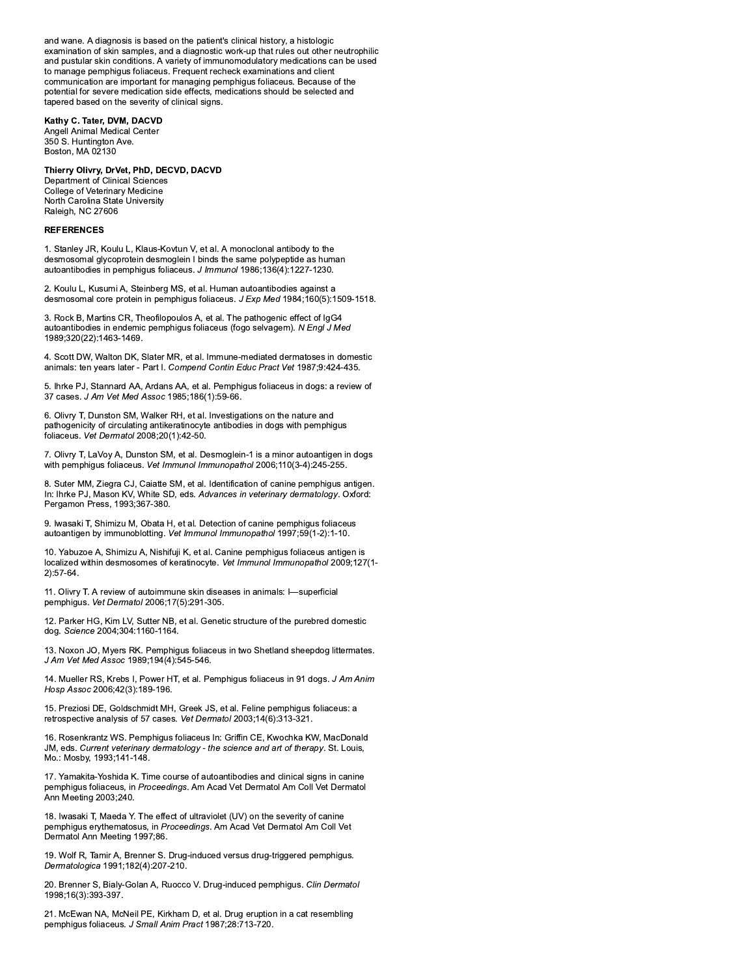and wane. A diagnosis is based on the patient's clinical history, a histologic examination of skin samples, and a diagnostic work-up that rules out other neutrophilic and pustular skin conditions. A variety of immunomodulatory medications can be used to manage pemphigus foliaceus. Frequent recheck examinations and client communication are important for managing pemphigus foliaceus. Because of the potential for severe medication side effects, medications should be selected and tapered based on the severity of clinical signs.

# Kathy C. Tater, DVM, DACVD

Angell Animal Medical Center 350 S. Huntington Ave. Boston, MA 02130

# Thierry Olivry, DrVet, PhD, DECVD, DACVD

Department of Clinical Sciences College of Veterinary Medicine North Carolina State University Raleigh, NC 27606

### **REFERENCES**

1. Stanley JR, Koulu L, Klaus-Kovtun V, et al. A monoclonal antibody to the desmosomal glycoprotein desmoglein I binds the same polypeptide as human autoantibodies in pemphigus foliaceus. J Immunol 1986;136(4):1227-1230.

2. Koulu L, Kusumi A, Steinberg MS, et al. Human autoantibodies against a desmosomal core protein in pemphigus foliaceus. J Exp Med 1984;160(5):1509-1518.

3. Rock B, Martins CR, Theofilopoulos A, et al. The pathogenic effect of IgG4 autoantibodies in endemic pemphigus foliaceus (fogo selvagem). N Engl J Med 1989;320(22):1463-1469.

4. Scott DW, Walton DK, Slater MR, et al. Immune-mediated dermatoses in domestic animals: ten years later - Part I. Compend Contin Educ Pract Vet 1987;9:424-435.

5. Ihrke PJ, Stannard AA, Ardans AA, et al. Pemphigus foliaceus in dogs: a review of 37 cases. J Am Vet Med Assoc 1985;186(1):59-66.

6. Olivry T, Dunston SM, Walker RH, et al. Investigations on the nature and pathogenicity of circulating antikeratinocyte antibodies in dogs with pemphigus .<br>foliaceus. Vet Dermatol 2008;20(1):42-50.

7. Olivry T, LaVoy A, Dunston SM, et al. Desmoglein-1 is a minor autoantigen in dogs with pemphigus foliaceus. Vet Immunol Immunopathol 2006;110(3-4):245-255.

8. Suter MM, Ziegra CJ, Caiatte SM, et al. Identification of canine pemphigus antigen. In: Ihrke PJ, Mason KV, White SD, eds. Advances in veterinary dermatology. Oxford: Pergamon Press, 1993;367-380.

9. Iwasaki T, Shimizu M, Obata H, et al. Detection of canine pemphigus foliaceus autoantigen by immunoblotting. Vet Immunol Immunopathol 1997;59(1-2):1-10.

10. Yabuzoe A, Shimizu A, Nishifuji K, et al. Canine pemphigus foliaceus antigen is localized within desmosomes of keratinocyte. Vet Immunol Immunopathol 2009;127(1- $2):57-64.$ 

11. Olivry T. A review of autoimmune skin diseases in animals: I-superficial pemphigus. Vet Dermatol 2006;17(5):291-305.

12. Parker HG, Kim LV, Sutter NB, et al. Genetic structure of the purebred domestic dog. Science 2004;304:1160-1164.

13. Noxon JO, Myers RK. Pemphigus foliaceus in two Shetland sheepdog littermates. J Am Vet Med Assoc 1989;194(4):545-546.

14. Mueller RS, Krebs I, Power HT, et al. Pemphigus foliaceus in 91 dogs. J Am Anim Hosp Assoc 2006;42(3):189-196.

15. Preziosi DE, Goldschmidt MH, Greek JS, et al. Feline pemphigus foliaceus: a retrospective analysis of 57 cases. Vet Dermatol 2003;14(6):313-321.

16. Rosenkrantz WS. Pemphigus foliaceus In: Griffin CE, Kwochka KW, MacDonald JM, eds. Current veterinary dermatology - the science and art of therapy. St. Louis, Mo.: Mosby, 1993;141-148.

17. Yamakita-Yoshida K. Time course of autoantibodies and clinical signs in canine pemphigus foliaceus, in Proceedings. Am Acad Vet Dermatol Am Coll Vet Dermatol Ann Meeting 2003;240.

18. Iwasaki T, Maeda Y. The effect of ultraviolet (UV) on the severity of canine pemphigus erythematosus, in Proceedings. Am Acad Vet Dermatol Am Coll Vet Dermatol Ann Meeting 1997;86.

19. Wolf R, Tamir A, Brenner S. Drug-induced versus drug-triggered pemphigus. Dermatologica 1991;182(4):207-210.

20. Brenner S, Bialy-Golan A, Ruocco V. Drug-induced pemphigus. Clin Dermatol 1998;16(3):393-397.

21. McEwan NA, McNeil PE, Kirkham D, et al. Drug eruption in a cat resembling pemphiqus foliaceus. J Small Anim Pract 1987;28:713-720.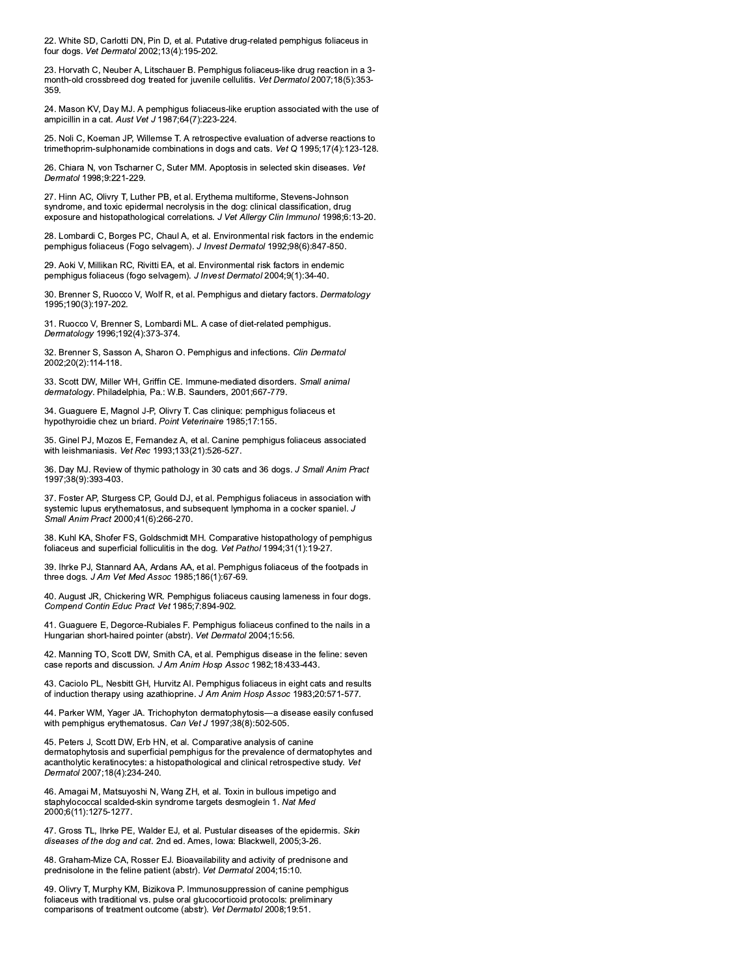22. White SD, Carlotti DN, Pin D, et al. Putative drug-related pemphigus foliaceus in four dogs. Vet Dermatol 2002;13(4):195-202.

23. Horvath C, Neuber A, Litschauer B. Pemphigus foliaceus-like drug reaction in a 3month-old crossbreed dog treated for juvenile cellulitis. Vet Dermatol 2007;18(5):353-359

24. Mason KV, Day MJ. A pemphigus foliaceus-like eruption associated with the use of ampicillin in a cat. Aust Vet J 1987;64(7):223-224.

25. Noli C, Koeman JP, Willemse T. A retrospective evaluation of adverse reactions to trimethoprim-sulphonamide combinations in dogs and cats. Vet Q 1995;17(4):123-128.

26. Chiara N, von Tscharner C, Suter MM. Apoptosis in selected skin diseases. Vet Dermatol 1998;9:221-229.

27. Hinn AC, Olivry T, Luther PB, et al. Erythema multiforme, Stevens-Johnson syndrome, and toxic epidermal necrolysis in the dog: clinical classification, drug exposure and histopathological correlations. J Vet Allergy Clin Immunol 1998;6:13-20.

28. Lombardi C, Borges PC, Chaul A, et al. Environmental risk factors in the endemic pemphigus foliaceus (Fogo selvagem). J Invest Dermatol 1992;98(6):847-850.

29. Aoki V, Millikan RC, Rivitti EA, et al. Environmental risk factors in endemic pemphigus foliaceus (fogo selvagem). J Invest Dermatol 2004;9(1):34-40.

30. Brenner S, Ruocco V, Wolf R, et al. Pemphigus and dietary factors. Dermatology 1995:190(3):197-202.

31. Ruocco V, Brenner S, Lombardi ML. A case of diet-related pemphigus. Dermatology 1996;192(4):373-374.

32. Brenner S, Sasson A, Sharon O. Pemphigus and infections. Clin Dermatol 2002:20(2):114-118.

33. Scott DW, Miller WH, Griffin CE. Immune-mediated disorders. Small animal dermatology. Philadelphia, Pa.: W.B. Saunders, 2001;667-779.

34. Guaguere E, Magnol J-P, Olivry T. Cas clinique: pemphigus foliaceus et hypothyroidie chez un briard. Point Veterinaire 1985;17:155.

35. Ginel PJ, Mozos E, Fernandez A, et al. Canine pemphigus foliaceus associated with leishmaniasis. Vet Rec 1993;133(21):526-527.

36. Day MJ. Review of thymic pathology in 30 cats and 36 dogs. J Small Anim Pract 1997:38(9):393-403.

37. Foster AP, Sturgess CP, Gould DJ, et al. Pemphiqus foliaceus in association with systemic lupus erythematosus, and subsequent lymphoma in a cocker spaniel. J Small Anim Pract 2000;41(6):266-270.

38. Kuhl KA, Shofer FS, Goldschmidt MH. Comparative histopathology of pemphigus foliaceus and superficial folliculitis in the dog. Vet Pathol 1994;31(1):19-27.

39. Ihrke PJ, Stannard AA, Ardans AA, et al. Pemphigus foliaceus of the footpads in three dogs. J Am Vet Med Assoc 1985;186(1):67-69.

40. August JR, Chickering WR. Pemphigus foliaceus causing lameness in four dogs. Compend Contin Educ Pract Vet 1985;7:894-902.

41. Guaguere E, Degorce-Rubiales F. Pemphigus foliaceus confined to the nails in a Hungarian short-haired pointer (abstr). Vet Dermatol 2004:15:56.

42. Manning TO, Scott DW, Smith CA, et al. Pemphigus disease in the feline: seven case reports and discussion. J Am Anim Hosp Assoc 1982;18:433-443.

43. Caciolo PL, Nesbitt GH, Hurvitz AI. Pemphigus foliaceus in eight cats and results of induction therapy using azathioprine. J Am Anim Hosp Assoc 1983;20:571-577.

44. Parker WM, Yager JA. Trichophyton dermatophytosis-a disease easily confused with pemphigus erythematosus. Can Vet J 1997;38(8):502-505.

45. Peters J, Scott DW, Erb HN, et al. Comparative analysis of canine dermatophytosis and superficial pemphigus for the prevalence of dermatophytes and acantholytic keratinocytes: a histopathological and clinical retrospective study. Vet Dermatol 2007;18(4):234-240.

46. Amagai M, Matsuyoshi N, Wang ZH, et al. Toxin in bullous impetigo and staphylococcal scalded-skin syndrome targets desmoglein 1. Nat Med 2000;6(11):1275-1277.

47. Gross TL, Ihrke PE, Walder EJ, et al. Pustular diseases of the epidermis. Skin diseases of the dog and cat. 2nd ed. Ames, lowa: Blackwell, 2005;3-26.

48. Graham-Mize CA, Rosser EJ. Bioavailability and activity of prednisone and prednisolone in the feline patient (abstr). Vet Dermatol 2004;15:10.

49. Olivry T, Murphy KM, Bizikova P. Immunosuppression of canine pemphigus foliaceus with traditional vs. pulse oral glucocorticoid protocols: preliminary comparisons of treatment outcome (abstr). Vet Dermatol 2008;19:51.